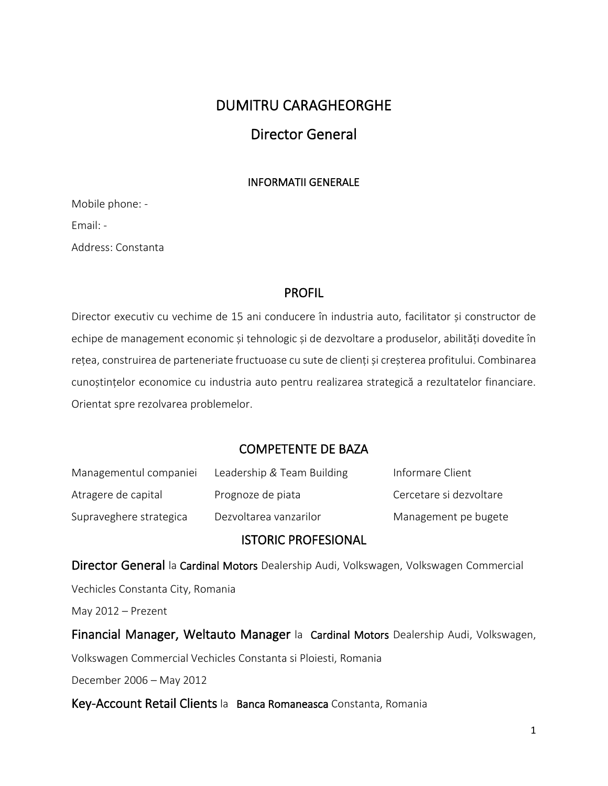# DUMITRU CARAGHEORGHE

# Director General

### INFORMATII GENERALE

Mobile phone: - Email: - Address: Constanta

## PROFIL

Director executiv cu vechime de 15 ani conducere în industria auto, facilitator și constructor de echipe de management economic și tehnologic și de dezvoltare a produselor, abilități dovedite în rețea, construirea de parteneriate fructuoase cu sute de clienți și creșterea profitului. Combinarea cunoștințelor economice cu industria auto pentru realizarea strategică a rezultatelor financiare. Orientat spre rezolvarea problemelor.

## COMPETENTE DE BAZA

| Managementul companiei  | Leadership & Team Building | Informare Client        |
|-------------------------|----------------------------|-------------------------|
| Atragere de capital     | Prognoze de piata          | Cercetare și dezvoltare |
| Supraveghere strategica | Dezvoltarea vanzarilor     | Management pe bugete    |

## ISTORIC PROFESIONAL

Director General la Cardinal Motors Dealership Audi, Volkswagen, Volkswagen Commercial

Vechicles Constanta City, Romania

May 2012 – Prezent

Financial Manager, Weltauto Manager la Cardinal Motors Dealership Audi, Volkswagen,

Volkswagen Commercial Vechicles Constanta si Ploiesti, Romania

December 2006 – May 2012

Key-Account Retail Clients la Banca Romaneasca Constanta, Romania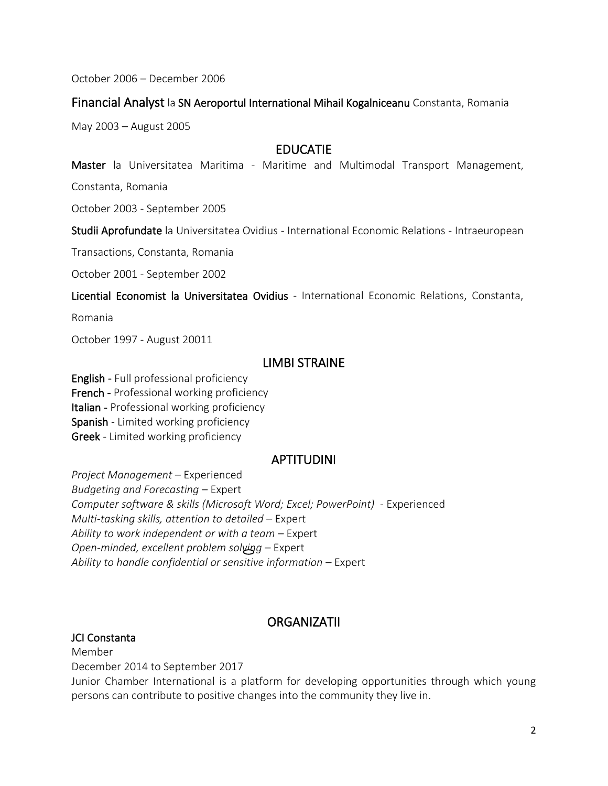October 2006 – December 2006

### Financial Analyst la SN Aeroportul International Mihail Kogalniceanu Constanta, Romania

May 2003 – August 2005

# EDUCATIE

Master la Universitatea Maritima - Maritime and Multimodal Transport Management,

Constanta, Romania

October 2003 - September 2005

Studii Aprofundate la Universitatea Ovidius - International Economic Relations - Intraeuropean

Transactions, Constanta, Romania

October 2001 - September 2002

Licential Economist la Universitatea Ovidius - International Economic Relations, Constanta,

Romania

October 1997 - August 20011

## LIMBI STRAINE

English - Full professional proficiency French - Professional working proficiency Italian - Professional working proficiency Spanish - Limited working proficiency Greek - Limited working proficiency

## APTITUDINI

*Project Management* – Experienced *Budgeting and Forecasting* – Expert *Computer software & skills (Microsoft Word; Excel; PowerPoint)* - Experienced *Multi-tasking skills, attention to detailed* – Expert *Ability to work independent or with a team* – Expert *Open-minded, excellent problem solving* – Expert *Ability to handle confidential or sensitive information* – Expert

## **ORGANIZATII**

### JCI Constanta

Member

December 2014 to September 2017

Junior Chamber International is a platform for developing opportunities through which young persons can contribute to positive changes into the community they live in.